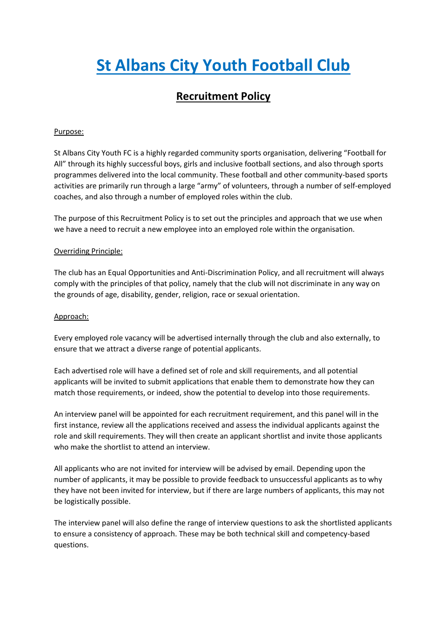# **St Albans City Youth Football Club**

## **Recruitment Policy**

### Purpose:

St Albans City Youth FC is a highly regarded community sports organisation, delivering "Football for All" through its highly successful boys, girls and inclusive football sections, and also through sports programmes delivered into the local community. These football and other community-based sports activities are primarily run through a large "army" of volunteers, through a number of self-employed coaches, and also through a number of employed roles within the club.

The purpose of this Recruitment Policy is to set out the principles and approach that we use when we have a need to recruit a new employee into an employed role within the organisation.

### Overriding Principle:

The club has an Equal Opportunities and Anti-Discrimination Policy, and all recruitment will always comply with the principles of that policy, namely that the club will not discriminate in any way on the grounds of age, disability, gender, religion, race or sexual orientation.

#### Approach:

Every employed role vacancy will be advertised internally through the club and also externally, to ensure that we attract a diverse range of potential applicants.

Each advertised role will have a defined set of role and skill requirements, and all potential applicants will be invited to submit applications that enable them to demonstrate how they can match those requirements, or indeed, show the potential to develop into those requirements.

An interview panel will be appointed for each recruitment requirement, and this panel will in the first instance, review all the applications received and assess the individual applicants against the role and skill requirements. They will then create an applicant shortlist and invite those applicants who make the shortlist to attend an interview.

All applicants who are not invited for interview will be advised by email. Depending upon the number of applicants, it may be possible to provide feedback to unsuccessful applicants as to why they have not been invited for interview, but if there are large numbers of applicants, this may not be logistically possible.

The interview panel will also define the range of interview questions to ask the shortlisted applicants to ensure a consistency of approach. These may be both technical skill and competency-based questions.